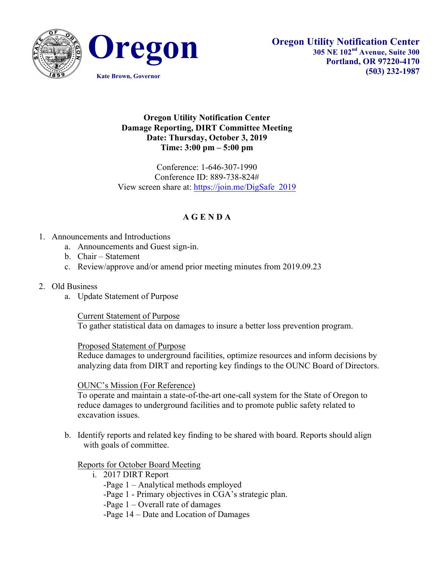



## **Oregon Utility Notification Center Damage Reporting, DIRT Committee Meeting Date: Thursday, October 3, 2019 Time: 3:00 pm – 5:00 pm**

Conference: 1-646-307-1990 Conference ID: 889-738-824# View screen share at: https://join.me/DigSafe\_2019

## **A G E N D A**

- 1. Announcements and Introductions
	- a. Announcements and Guest sign-in.
	- b. Chair Statement
	- c. Review/approve and/or amend prior meeting minutes from 2019.09.23
- 2. Old Business
	- a. Update Statement of Purpose

Current Statement of Purpose

To gather statistical data on damages to insure a better loss prevention program.

Proposed Statement of Purpose

Reduce damages to underground facilities, optimize resources and inform decisions by analyzing data from DIRT and reporting key findings to the OUNC Board of Directors.

OUNC's Mission (For Reference)

To operate and maintain a state-of-the-art one-call system for the State of Oregon to reduce damages to underground facilities and to promote public safety related to excavation issues.

b. Identify reports and related key finding to be shared with board. Reports should align with goals of committee.

Reports for October Board Meeting

- i. 2017 DIRT Report
	- -Page 1 Analytical methods employed
	- -Page 1 Primary objectives in CGA's strategic plan.
	- -Page 1 Overall rate of damages
	- -Page 14 Date and Location of Damages